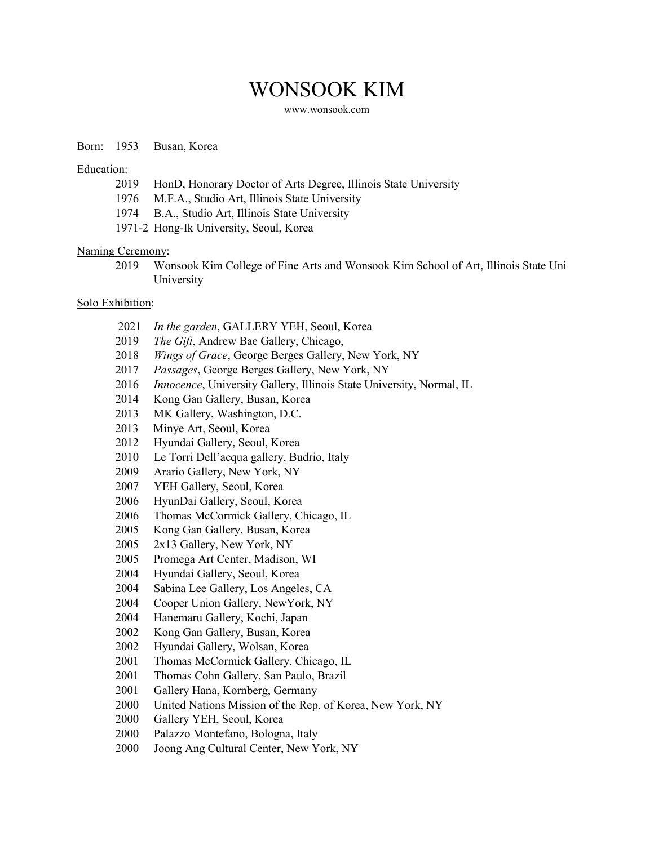# WONSOOK KIM

[www.wonsook.com](http://www.wonsook.com/)

### Born: 1953 Busan, Korea

Education:

- 2019 HonD, Honorary Doctor of Arts Degree, Illinois State University
- 1976 M.F.A., Studio Art, Illinois State University
- 1974 B.A., Studio Art, Illinois State University
- 1971-2 Hong-Ik University, Seoul, Korea

### Naming Ceremony:

2019 Wonsook Kim College of Fine Arts and Wonsook Kim School of Art, Illinois State Uni University

## Solo Exhibition:

- 2021 *In the garden*, GALLERY YEH, Seoul, Korea
- 2019 *The Gift*, Andrew Bae Gallery, Chicago,
- 2018 *Wings of Grace*, George Berges Gallery, New York, NY
- 2017 *Passages*, George Berges Gallery, New York, NY
- 2016 *Innocence*, University Gallery, Illinois State University, Normal, IL
- 2014 Kong Gan Gallery, Busan, Korea
- 2013 MK Gallery, Washington, D.C.
- 2013 Minye Art, Seoul, Korea
- 2012 Hyundai Gallery, Seoul, Korea
- 2010 Le Torri Dell'acqua gallery, Budrio, Italy
- 2009 Arario Gallery, New York, NY
- 2007 YEH Gallery, Seoul, Korea
- 2006 HyunDai Gallery, Seoul, Korea
- 2006 Thomas McCormick Gallery, Chicago, IL
- 2005 Kong Gan Gallery, Busan, Korea
- 2005 2x13 Gallery, New York, NY
- 2005 Promega Art Center, Madison, WI
- 2004 Hyundai Gallery, Seoul, Korea
- 2004 Sabina Lee Gallery, Los Angeles, CA
- 2004 Cooper Union Gallery, NewYork, NY
- 2004 Hanemaru Gallery, Kochi, Japan
- 2002 Kong Gan Gallery, Busan, Korea
- 2002 Hyundai Gallery, Wolsan, Korea
- 2001 Thomas McCormick Gallery, Chicago, IL
- 2001 Thomas Cohn Gallery, San Paulo, Brazil
- 2001 Gallery Hana, Kornberg, Germany
- 2000 United Nations Mission of the Rep. of Korea, New York, NY
- 2000 Gallery YEH, Seoul, Korea
- 2000 Palazzo Montefano, Bologna, Italy
- 2000 Joong Ang Cultural Center, New York, NY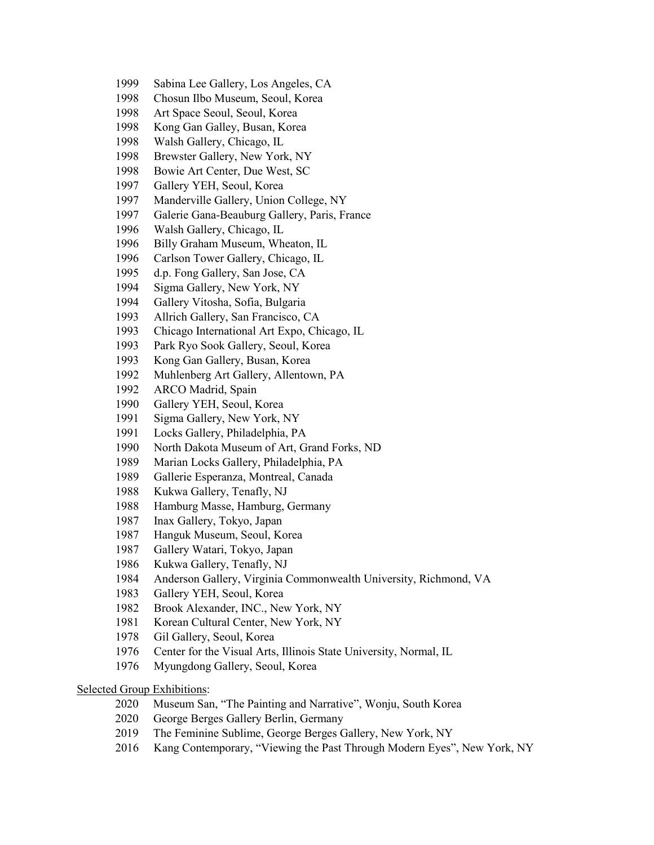- Sabina Lee Gallery, Los Angeles, CA
- Chosun Ilbo Museum, Seoul, Korea
- Art Space Seoul, Seoul, Korea
- Kong Gan Galley, Busan, Korea
- Walsh Gallery, Chicago, IL
- Brewster Gallery, New York, NY
- 1998 Bowie Art Center, Due West, SC
- Gallery YEH, Seoul, Korea
- Manderville Gallery, Union College, NY
- Galerie Gana-Beauburg Gallery, Paris, France
- Walsh Gallery, Chicago, IL
- Billy Graham Museum, Wheaton, IL
- Carlson Tower Gallery, Chicago, IL
- d.p. Fong Gallery, San Jose, CA
- Sigma Gallery, New York, NY
- Gallery Vitosha, Sofia, Bulgaria
- Allrich Gallery, San Francisco, CA
- Chicago International Art Expo, Chicago, IL
- Park Ryo Sook Gallery, Seoul, Korea
- Kong Gan Gallery, Busan, Korea
- Muhlenberg Art Gallery, Allentown, PA
- ARCO Madrid, Spain
- Gallery YEH, Seoul, Korea
- Sigma Gallery, New York, NY
- Locks Gallery, Philadelphia, PA
- North Dakota Museum of Art, Grand Forks, ND
- Marian Locks Gallery, Philadelphia, PA
- Gallerie Esperanza, Montreal, Canada
- Kukwa Gallery, Tenafly, NJ
- Hamburg Masse, Hamburg, Germany
- Inax Gallery, Tokyo, Japan
- Hanguk Museum, Seoul, Korea
- Gallery Watari, Tokyo, Japan
- Kukwa Gallery, Tenafly, NJ
- Anderson Gallery, Virginia Commonwealth University, Richmond, VA
- Gallery YEH, Seoul, Korea
- Brook Alexander, INC., New York, NY
- Korean Cultural Center, New York, NY
- Gil Gallery, Seoul, Korea
- Center for the Visual Arts, Illinois State University, Normal, IL
- Myungdong Gallery, Seoul, Korea

# Selected Group Exhibitions:

- 2020 Museum San, "The Painting and Narrative", Wonju, South Korea
- 2020 George Berges Gallery Berlin, Germany
- 2019 The Feminine Sublime, George Berges Gallery, New York, NY
- Kang Contemporary, "Viewing the Past Through Modern Eyes", New York, NY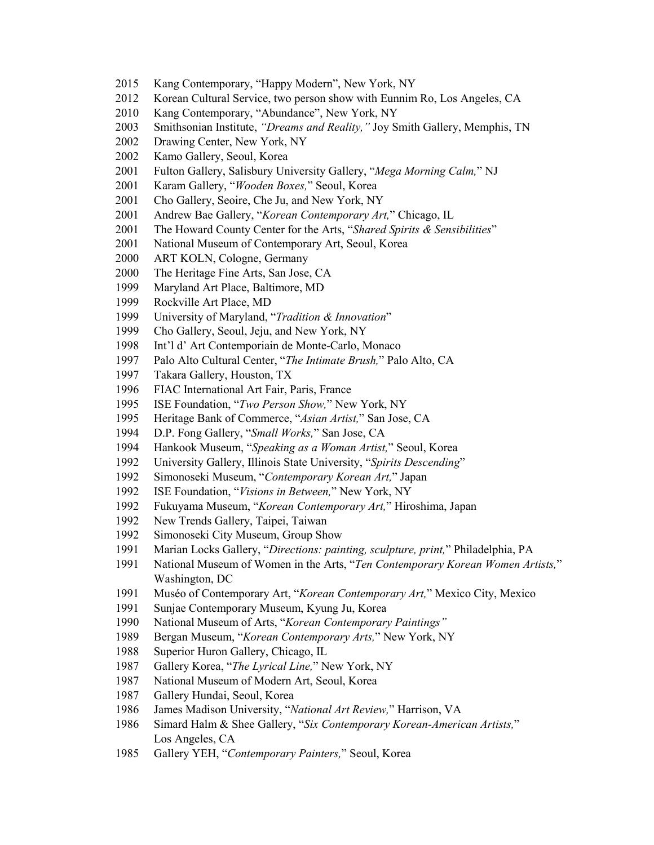- Kang Contemporary, "Happy Modern", New York, NY
- Korean Cultural Service, two person show with Eunnim Ro, Los Angeles, CA
- Kang Contemporary, "Abundance", New York, NY
- Smithsonian Institute, *"Dreams and Reality,"* Joy Smith Gallery, Memphis, TN
- Drawing Center, New York, NY
- Kamo Gallery, Seoul, Korea
- Fulton Gallery, Salisbury University Gallery, "*Mega Morning Calm,*" NJ
- Karam Gallery, "*Wooden Boxes,*" Seoul, Korea
- Cho Gallery, Seoire, Che Ju, and New York, NY
- Andrew Bae Gallery, "*Korean Contemporary Art,*" Chicago, IL
- The Howard County Center for the Arts, "*Shared Spirits & Sensibilities*"
- National Museum of Contemporary Art, Seoul, Korea
- ART KOLN, Cologne, Germany
- The Heritage Fine Arts, San Jose, CA
- Maryland Art Place, Baltimore, MD
- Rockville Art Place, MD
- University of Maryland, "*Tradition & Innovation*"
- Cho Gallery, Seoul, Jeju, and New York, NY
- Int'l d' Art Contemporiain de Monte-Carlo, Monaco
- Palo Alto Cultural Center, "*The Intimate Brush,*" Palo Alto, CA
- Takara Gallery, Houston, TX
- FIAC International Art Fair, Paris, France
- ISE Foundation, "*Two Person Show,*" New York, NY
- Heritage Bank of Commerce, "*Asian Artist,*" San Jose, CA
- D.P. Fong Gallery, "*Small Works,*" San Jose, CA
- Hankook Museum, "*Speaking as a Woman Artist,*" Seoul, Korea
- University Gallery, Illinois State University, "*Spirits Descending*"
- Simonoseki Museum, "*Contemporary Korean Art,*" Japan
- ISE Foundation, "*Visions in Between,*" New York, NY
- Fukuyama Museum, "*Korean Contemporary Art,*" Hiroshima, Japan
- 1992 New Trends Gallery, Taipei, Taiwan
- Simonoseki City Museum, Group Show
- Marian Locks Gallery, "*Directions: painting, sculpture, print,*" Philadelphia, PA
- National Museum of Women in the Arts, "*Ten Contemporary Korean Women Artists,*" Washington, DC
- 1991 Muséo of Contemporary Art, "*Korean Contemporary Art,*" Mexico City, Mexico
- Sunjae Contemporary Museum, Kyung Ju, Korea
- National Museum of Arts, "*Korean Contemporary Paintings"*
- Bergan Museum, "*Korean Contemporary Arts,*" New York, NY
- Superior Huron Gallery, Chicago, IL
- Gallery Korea, "*The Lyrical Line,*" New York, NY
- National Museum of Modern Art, Seoul, Korea
- Gallery Hundai, Seoul, Korea
- James Madison University, "*National Art Review,*" Harrison, VA
- Simard Halm & Shee Gallery, "*Six Contemporary Korean-American Artists,*" Los Angeles, CA
- Gallery YEH, "*Contemporary Painters,*" Seoul, Korea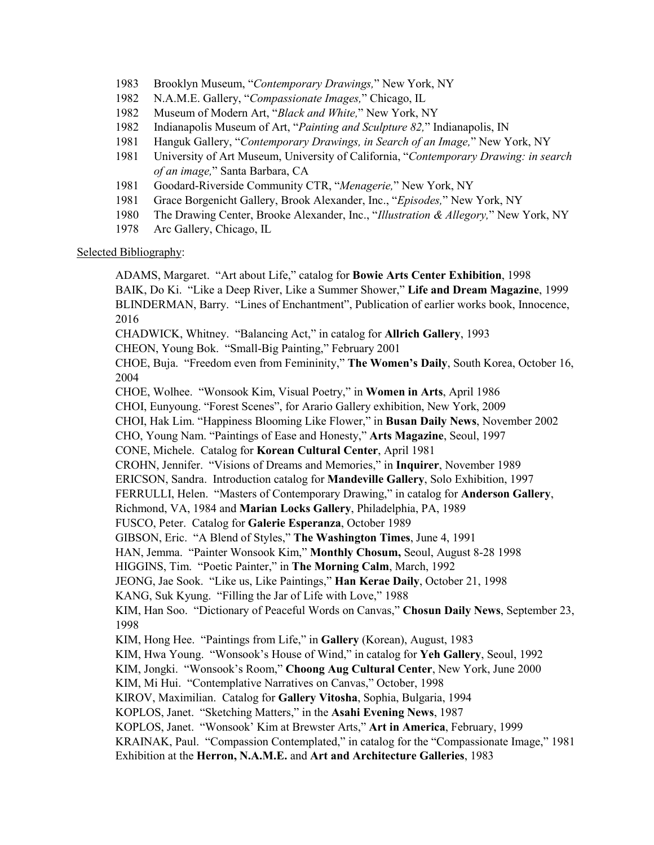- 1983 Brooklyn Museum, "*Contemporary Drawings,*" New York, NY
- 1982 N.A.M.E. Gallery, "*Compassionate Images,*" Chicago, IL
- 1982 Museum of Modern Art, "*Black and White,*" New York, NY
- 1982 Indianapolis Museum of Art, "*Painting and Sculpture 82,*" Indianapolis, IN
- 1981 Hanguk Gallery, "*Contemporary Drawings, in Search of an Image,*" New York, NY
- 1981 University of Art Museum, University of California, "*Contemporary Drawing: in search of an image,*" Santa Barbara, CA
- 1981 Goodard-Riverside Community CTR, "*Menagerie,*" New York, NY
- 1981 Grace Borgenicht Gallery, Brook Alexander, Inc., "*Episodes,*" New York, NY
- 1980 The Drawing Center, Brooke Alexander, Inc., "*Illustration & Allegory,*" New York, NY
- 1978 Arc Gallery, Chicago, IL

# Selected Bibliography:

ADAMS, Margaret. "Art about Life," catalog for **Bowie Arts Center Exhibition**, 1998 BAIK, Do Ki. "Like a Deep River, Like a Summer Shower," **Life and Dream Magazine**, 1999 BLINDERMAN, Barry. "Lines of Enchantment", Publication of earlier works book, Innocence, 2016 CHADWICK, Whitney. "Balancing Act," in catalog for **Allrich Gallery**, 1993 CHEON, Young Bok. "Small-Big Painting," February 2001 CHOE, Buja. "Freedom even from Femininity," **The Women's Daily**, South Korea, October 16, 2004 CHOE, Wolhee. "Wonsook Kim, Visual Poetry," in **Women in Arts**, April 1986 CHOI, Eunyoung. "Forest Scenes", for Arario Gallery exhibition, New York, 2009 CHOI, Hak Lim. "Happiness Blooming Like Flower," in **Busan Daily News**, November 2002 CHO, Young Nam. "Paintings of Ease and Honesty," **Arts Magazine**, Seoul, 1997 CONE, Michele. Catalog for **Korean Cultural Center**, April 1981 CROHN, Jennifer. "Visions of Dreams and Memories," in **Inquirer**, November 1989 ERICSON, Sandra. Introduction catalog for **Mandeville Gallery**, Solo Exhibition, 1997 FERRULLI, Helen. "Masters of Contemporary Drawing," in catalog for **Anderson Gallery**, Richmond, VA, 1984 and **Marian Locks Gallery**, Philadelphia, PA, 1989 FUSCO, Peter. Catalog for **Galerie Esperanza**, October 1989 GIBSON, Eric. "A Blend of Styles," **The Washington Times**, June 4, 1991 HAN, Jemma. "Painter Wonsook Kim," **Monthly Chosum,** Seoul, August 8-28 1998 HIGGINS, Tim. "Poetic Painter," in **The Morning Calm**, March, 1992 JEONG, Jae Sook. "Like us, Like Paintings," **Han Kerae Daily**, October 21, 1998 KANG, Suk Kyung. "Filling the Jar of Life with Love," 1988 KIM, Han Soo. "Dictionary of Peaceful Words on Canvas," **Chosun Daily News**, September 23, 1998 KIM, Hong Hee. "Paintings from Life," in **Gallery** (Korean), August, 1983 KIM, Hwa Young. "Wonsook's House of Wind," in catalog for **Yeh Gallery**, Seoul, 1992 KIM, Jongki. "Wonsook's Room," **Choong Aug Cultural Center**, New York, June 2000 KIM, Mi Hui. "Contemplative Narratives on Canvas," October, 1998 KIROV, Maximilian. Catalog for **Gallery Vitosha**, Sophia, Bulgaria, 1994 KOPLOS, Janet. "Sketching Matters," in the **Asahi Evening News**, 1987 KOPLOS, Janet. "Wonsook' Kim at Brewster Arts," **Art in America**, February, 1999 KRAINAK, Paul. "Compassion Contemplated," in catalog for the "Compassionate Image," 1981 Exhibition at the **Herron, N.A.M.E.** and **Art and Architecture Galleries**, 1983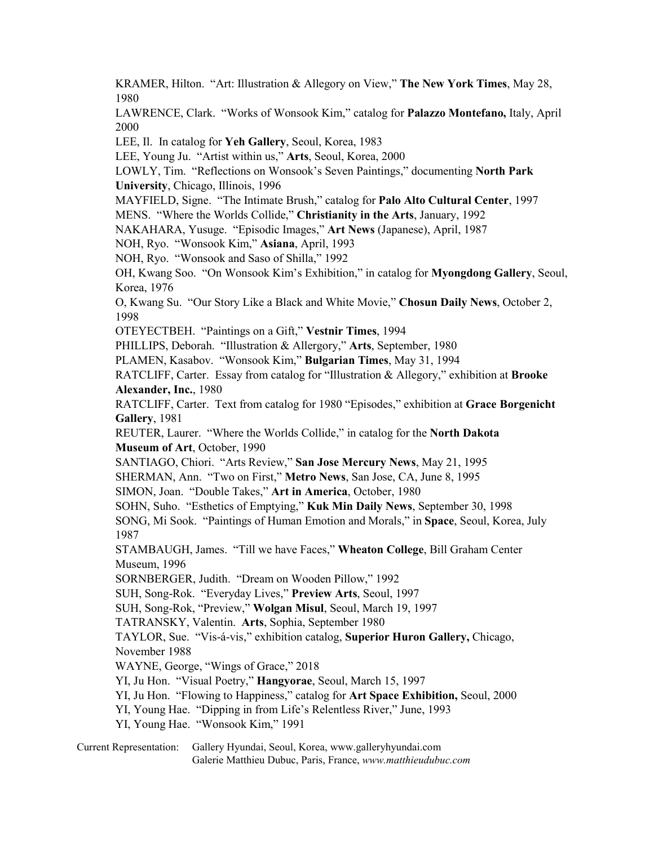KRAMER, Hilton. "Art: Illustration & Allegory on View," **The New York Times**, May 28, 1980 LAWRENCE, Clark. "Works of Wonsook Kim," catalog for **Palazzo Montefano,** Italy, April 2000 LEE, Il. In catalog for **Yeh Gallery**, Seoul, Korea, 1983 LEE, Young Ju. "Artist within us," **Arts**, Seoul, Korea, 2000 LOWLY, Tim. "Reflections on Wonsook's Seven Paintings," documenting **North Park University**, Chicago, Illinois, 1996 MAYFIELD, Signe. "The Intimate Brush," catalog for **Palo Alto Cultural Center**, 1997 MENS. "Where the Worlds Collide," **Christianity in the Arts**, January, 1992 NAKAHARA, Yusuge. "Episodic Images," **Art News** (Japanese), April, 1987 NOH, Ryo. "Wonsook Kim," **Asiana**, April, 1993 NOH, Ryo. "Wonsook and Saso of Shilla," 1992 OH, Kwang Soo. "On Wonsook Kim's Exhibition," in catalog for **Myongdong Gallery**, Seoul, Korea, 1976 O, Kwang Su. "Our Story Like a Black and White Movie," **Chosun Daily News**, October 2, 1998 OTEYECTBEH. "Paintings on a Gift," **Vestnir Times**, 1994 PHILLIPS, Deborah. "Illustration & Allergory," **Arts**, September, 1980 PLAMEN, Kasabov. "Wonsook Kim," **Bulgarian Times**, May 31, 1994 RATCLIFF, Carter. Essay from catalog for "Illustration & Allegory," exhibition at **Brooke Alexander, Inc.**, 1980 RATCLIFF, Carter. Text from catalog for 1980 "Episodes," exhibition at **Grace Borgenicht Gallery**, 1981 REUTER, Laurer. "Where the Worlds Collide," in catalog for the **North Dakota Museum of Art**, October, 1990 SANTIAGO, Chiori. "Arts Review," **San Jose Mercury News**, May 21, 1995 SHERMAN, Ann. "Two on First," **Metro News**, San Jose, CA, June 8, 1995 SIMON, Joan. "Double Takes," **Art in America**, October, 1980 SOHN, Suho. "Esthetics of Emptying," **Kuk Min Daily News**, September 30, 1998 SONG, Mi Sook. "Paintings of Human Emotion and Morals," in **Space**, Seoul, Korea, July 1987 STAMBAUGH, James. "Till we have Faces," **Wheaton College**, Bill Graham Center Museum, 1996 SORNBERGER, Judith. "Dream on Wooden Pillow," 1992 SUH, Song-Rok. "Everyday Lives," **Preview Arts**, Seoul, 1997 SUH, Song-Rok, "Preview," **Wolgan Misul**, Seoul, March 19, 1997 TATRANSKY, Valentin. **Arts**, Sophia, September 1980 TAYLOR, Sue. "Vis-á-vis," exhibition catalog, **Superior Huron Gallery,** Chicago, November 1988 WAYNE, George, "Wings of Grace," 2018 YI, Ju Hon. "Visual Poetry," **Hangyorae**, Seoul, March 15, 1997 YI, Ju Hon. "Flowing to Happiness," catalog for **Art Space Exhibition,** Seoul, 2000 YI, Young Hae. "Dipping in from Life's Relentless River," June, 1993 YI, Young Hae. "Wonsook Kim," 1991

Current Representation: Gallery Hyundai, Seoul, Korea, www.galleryhyundai.com Galerie Matthieu Dubuc, Paris, France, *[www.matthieudubuc.com](https://www.google.com/url?sa=t&rct=j&q=&esrc=s&source=web&cd=1&ved=2ahUKEwiuhb_-stjhAhVrmK0KHS_ZDuUQFjAAegQIABAC&url=http://www.matthieudubuc.com/&usg=AOvVaw3Dr1zctI5gZtln2bfLwHnl)*